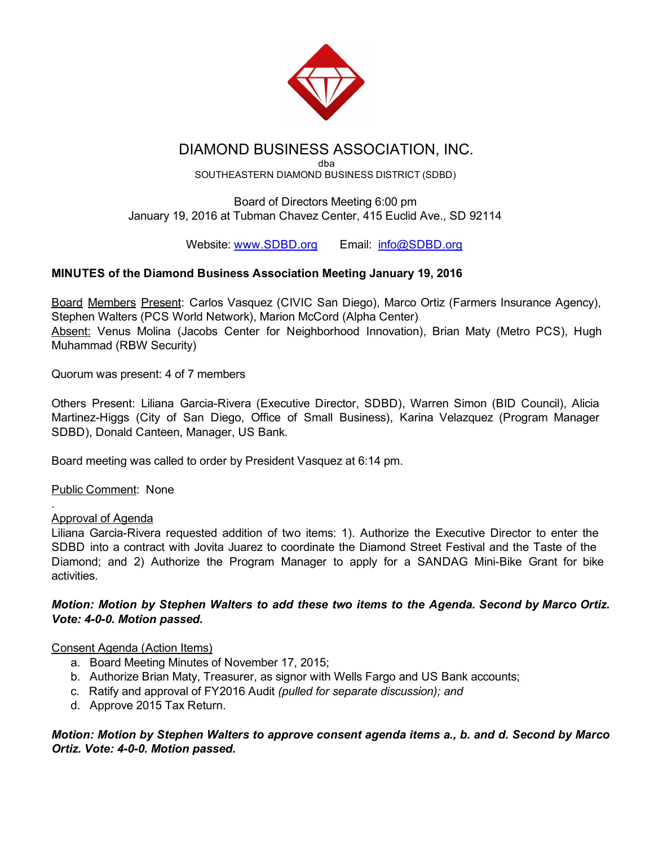

# DIAMOND BUSINESS ASSOCIATION, INC.

dba SOUTHEASTERN DIAMOND BUSINESS DISTRICT (SDBD)

Board of Directors Meeting 6:00 pm January 19, 2016 at Tubman Chavez Center, 415 Euclid Ave., SD 92114

Website: [www.SDBD.org](http://www.sdbd.org/) Email: [info@SDBD.org](mailto:info@SDBD.org)

# MINUTES of the Diamond Business Association Meeting January 19, 2016

Board Members Present: Carlos Vasquez (CIVIC San Diego), Marco Ortiz (Farmers Insurance Agency), Stephen Walters (PCS World Network), Marion McCord (Alpha Center) Absent: Venus Molina (Jacobs Center for Neighborhood Innovation), Brian Maty (Metro PCS), Hugh Muhammad (RBW Security)

Quorum was present: 4 of 7 members

Others Present: Liliana Garcia-Rivera (Executive Director, SDBD), Warren Simon (BID Council), Alicia Martinez-Higgs (City of San Diego, Office of Small Business), Karina Velazquez (Program Manager SDBD), Donald Canteen, Manager, US Bank.

Board meeting was called to order by President Vasquez at 6:14 pm.

Public Comment: None

#### Approval of Agenda

.

Liliana Garcia-Rivera requested addition of two items: 1). Authorize the Executive Director to enter the SDBD into a contract with Jovita Juarez to coordinate the Diamond Street Festival and the Taste of the Diamond; and 2) Authorize the Program Manager to apply for a SANDAG Mini-Bike Grant for bike activities.

### *Motion: Motion by Stephen Walters to add these two items to the Agenda. Second by Marco Ortiz. Vote: 400. Motion passed.*

# Consent Agenda (Action Items)

- a. Board Meeting Minutes of November 17, 2015;
- b. Authorize Brian Maty, Treasurer, as signor with Wells Fargo and US Bank accounts;
- c. Ratify and approval of FY2016 Audit *(pulled for separate discussion); and*
- d. Approve 2015 Tax Return.

*Motion: Motion by Stephen Walters to approve consent agenda items a., b. and d. Second by Marco Ortiz. Vote: 400. Motion passed.*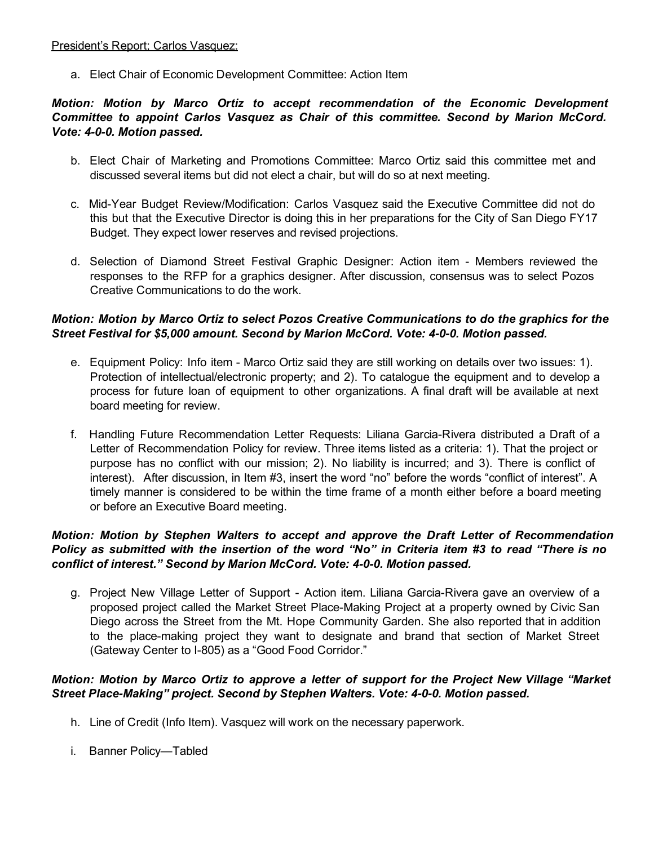#### President's Report; Carlos Vasquez:

a. Elect Chair of Economic Development Committee: Action Item

#### *Motion: Motion by Marco Ortiz to accept recommendation of the Economic Development Committee to appoint Carlos Vasquez as Chair of this committee. Second by Marion McCord. Vote: 400. Motion passed.*

- b. Elect Chair of Marketing and Promotions Committee: Marco Ortiz said this committee met and discussed several items but did not elect a chair, but will do so at next meeting.
- c. Mid-Year Budget Review/Modification: Carlos Vasquez said the Executive Committee did not do this but that the Executive Director is doing this in her preparations for the City of San Diego FY17 Budget. They expect lower reserves and revised projections.
- d. Selection of Diamond Street Festival Graphic Designer: Action item Members reviewed the responses to the RFP for a graphics designer. After discussion, consensus was to select Pozos Creative Communications to do the work.

## *Motion: Motion by Marco Ortiz to select Pozos Creative Communications to do the graphics for the Street Festival for \$5,000 amount. Second by Marion McCord. Vote: 400. Motion passed.*

- e. Equipment Policy: Info item Marco Ortiz said they are still working on details over two issues: 1). Protection of intellectual/electronic property; and 2). To catalogue the equipment and to develop a process for future loan of equipment to other organizations. A final draft will be available at next board meeting for review.
- f. Handling Future Recommendation Letter Requests: Liliana Garcia-Rivera distributed a Draft of a Letter of Recommendation Policy for review. Three items listed as a criteria: 1). That the project or purpose has no conflict with our mission; 2). No liability is incurred; and 3). There is conflict of interest). After discussion, in Item #3, insert the word "no" before the words "conflict of interest". A timely manner is considered to be within the time frame of a month either before a board meeting or before an Executive Board meeting.

### *Motion: Motion by Stephen Walters to accept and approve the Draft Letter of Recommendation* Policy as submitted with the insertion of the word "No" in Criteria item #3 to read "There is no *conflict of interest." Second by Marion McCord. Vote: 400. Motion passed.*

g. Project New Village Letter of Support - Action item. Liliana Garcia-Rivera gave an overview of a proposed project called the Market Street Place-Making Project at a property owned by Civic San Diego across the Street from the Mt. Hope Community Garden. She also reported that in addition to the place-making project they want to designate and brand that section of Market Street (Gateway Center to I-805) as a "Good Food Corridor."

### *Motion: Motion by Marco Ortiz to approve a letter of support for the Project New Village "Market Street PlaceMaking" project. Second by Stephen Walters. Vote: 400. Motion passed.*

- h. Line of Credit (Info Item). Vasquez will work on the necessary paperwork.
- i. Banner Policy—Tabled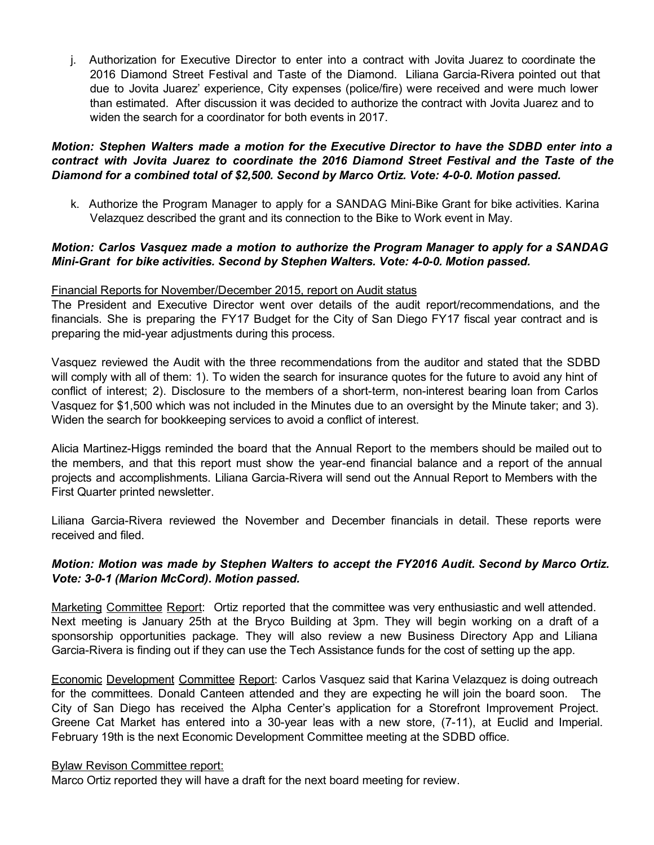j. Authorization for Executive Director to enter into a contract with Jovita Juarez to coordinate the 2016 Diamond Street Festival and Taste of the Diamond. Liliana Garcia-Rivera pointed out that due to Jovita Juarez' experience, City expenses (police/fire) were received and were much lower than estimated. After discussion it was decided to authorize the contract with Jovita Juarez and to widen the search for a coordinator for both events in 2017.

#### *Motion: Stephen Walters made a motion for the Executive Director to have the SDBD enter into a contract with Jovita Juarez to coordinate the 2016 Diamond Street Festival and the Taste of the Diamond for a combined total of \$2,500. Second by Marco Ortiz. Vote: 400. Motion passed.*

k. Authorize the Program Manager to apply for a SANDAG Mini-Bike Grant for bike activities. Karina Velazquez described the grant and its connection to the Bike to Work event in May.

#### *Motion: Carlos Vasquez made a motion to authorize the Program Manager to apply for a SANDAG MiniGrant for bike activities. Second by Stephen Walters. Vote: 400. Motion passed.*

#### Financial Reports for November/December 2015, report on Audit status

The President and Executive Director went over details of the audit report/recommendations, and the financials. She is preparing the FY17 Budget for the City of San Diego FY17 fiscal year contract and is preparing the mid-year adjustments during this process.

Vasquez reviewed the Audit with the three recommendations from the auditor and stated that the SDBD will comply with all of them: 1). To widen the search for insurance quotes for the future to avoid any hint of conflict of interest; 2). Disclosure to the members of a short-term, non-interest bearing loan from Carlos Vasquez for \$1,500 which was not included in the Minutes due to an oversight by the Minute taker; and 3). Widen the search for bookkeeping services to avoid a conflict of interest.

Alicia Martinez-Higgs reminded the board that the Annual Report to the members should be mailed out to the members, and that this report must show the year-end financial balance and a report of the annual projects and accomplishments. Liliana Garcia-Rivera will send out the Annual Report to Members with the First Quarter printed newsletter.

Liliana Garcia-Rivera reviewed the November and December financials in detail. These reports were received and filed.

#### *Motion: Motion was made by Stephen Walters to accept the FY2016 Audit. Second by Marco Ortiz. Vote: 301 (Marion McCord). Motion passed.*

Marketing Committee Report: Ortiz reported that the committee was very enthusiastic and well attended. Next meeting is January 25th at the Bryco Building at 3pm. They will begin working on a draft of a sponsorship opportunities package. They will also review a new Business Directory App and Liliana Garcia-Rivera is finding out if they can use the Tech Assistance funds for the cost of setting up the app.

Economic Development Committee Report: Carlos Vasquez said that Karina Velazquez is doing outreach for the committees. Donald Canteen attended and they are expecting he will join the board soon. The City of San Diego has received the Alpha Center's application for a Storefront Improvement Project. Greene Cat Market has entered into a 30-year leas with a new store, (7-11), at Euclid and Imperial. February 19th is the next Economic Development Committee meeting at the SDBD office.

#### Bylaw Revison Committee report:

Marco Ortiz reported they will have a draft for the next board meeting for review.